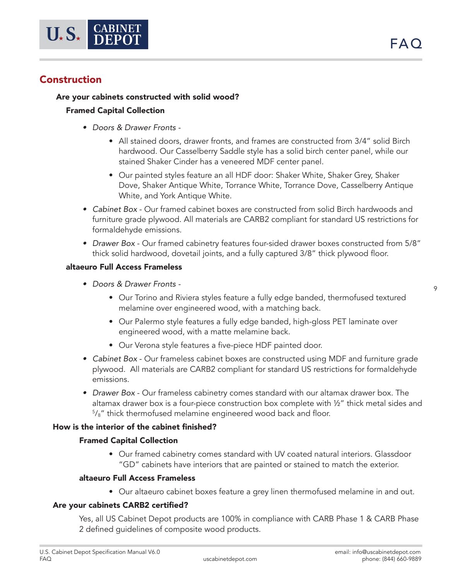# Construction

# Are your cabinets constructed with solid wood?

# Framed Capital Collection

- *• Doors & Drawer Fronts* 
	- All stained doors, drawer fronts, and frames are constructed from 3/4" solid Birch hardwood. Our Casselberry Saddle style has a solid birch center panel, while our stained Shaker Cinder has a veneered MDF center panel.
	- Our painted styles feature an all HDF door: Shaker White, Shaker Grey, Shaker Dove, Shaker Antique White, Torrance White, Torrance Dove, Casselberry Antique White, and York Antique White.
- *• Cabinet Box* Our framed cabinet boxes are constructed from solid Birch hardwoods and furniture grade plywood. All materials are CARB2 compliant for standard US restrictions for formaldehyde emissions.
- *• Drawer Box* Our framed cabinetry features four-sided drawer boxes constructed from 5/8" thick solid hardwood, dovetail joints, and a fully captured 3/8" thick plywood floor.

### altaeuro Full Access Frameless

- *• Doors & Drawer Fronts* 
	- Our Torino and Riviera styles feature a fully edge banded, thermofused textured melamine over engineered wood, with a matching back.
	- Our Palermo style features a fully edge banded, high-gloss PET laminate over engineered wood, with a matte melamine back.
	- Our Verona style features a five-piece HDF painted door.
- *• Cabinet Box*  Our frameless cabinet boxes are constructed using MDF and furniture grade plywood. All materials are CARB2 compliant for standard US restrictions for formaldehyde emissions.
- *• Drawer Box* Our frameless cabinetry comes standard with our altamax drawer box. The altamax drawer box is a four-piece construction box complete with ½" thick metal sides and 5 /8" thick thermofused melamine engineered wood back and floor.

## How is the interior of the cabinet finished?

## Framed Capital Collection

• Our framed cabinetry comes standard with UV coated natural interiors. Glassdoor "GD" cabinets have interiors that are painted or stained to match the exterior.

### altaeuro Full Access Frameless

• Our altaeuro cabinet boxes feature a grey linen thermofused melamine in and out.

## Are your cabinets CARB2 certified?

Yes, all US Cabinet Depot products are 100% in compliance with CARB Phase 1 & CARB Phase 2 defined guidelines of composite wood products.